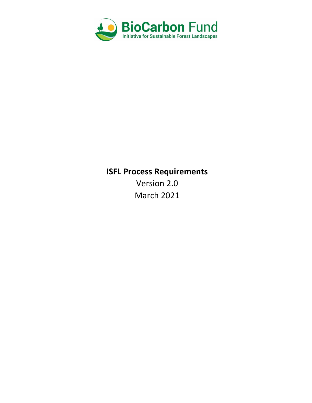

# **ISFL Process Requirements**

Version 2.0 March 2021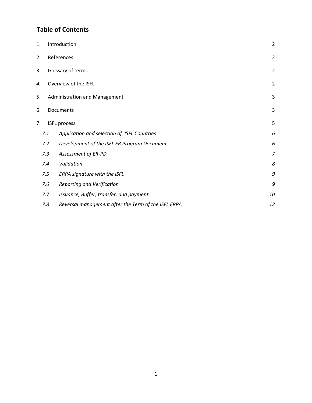## **Table of Contents**

| 1.  | Introduction                           |                                                     |    |  |  |  |
|-----|----------------------------------------|-----------------------------------------------------|----|--|--|--|
| 2.  | References                             |                                                     |    |  |  |  |
| 3.  |                                        | Glossary of terms                                   |    |  |  |  |
| 4.  | Overview of the ISFL<br>$\overline{2}$ |                                                     |    |  |  |  |
| 5.  | 3<br>Administration and Management     |                                                     |    |  |  |  |
| 6.  | 3<br>Documents                         |                                                     |    |  |  |  |
| 7.  |                                        | <b>ISFL process</b>                                 |    |  |  |  |
|     | 7.1                                    | Application and selection of ISFL Countries         | 6  |  |  |  |
|     | 7.2                                    | Development of the ISFL ER Program Document         | 6  |  |  |  |
| 7.3 |                                        | Assessment of ER-PD                                 | 7  |  |  |  |
| 7.4 |                                        | Validation                                          |    |  |  |  |
|     | 7.5                                    | ERPA signature with the ISFL                        | 9  |  |  |  |
|     | 7.6                                    | <b>Reporting and Verification</b>                   | 9  |  |  |  |
|     | 7.7                                    | Issuance, Buffer, transfer, and payment             |    |  |  |  |
|     | 7.8                                    | Reversal management after the Term of the ISFL ERPA | 12 |  |  |  |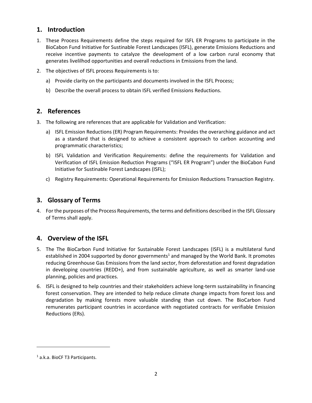## <span id="page-2-0"></span>**1. Introduction**

- 1. These Process Requirements define the steps required for ISFL ER Programs to participate in the BioCabon Fund Initiative for Sustinable Forest Landscapes (ISFL), generate Emissions Reductions and receive incentive payments to catalyze the development of a low carbon rural economy that generates livelilhod opportunities and overall reductions in Emissions from the land.
- 2. The objectives of ISFL process Requirements is to:
	- a) Provide clarity on the participants and documents involved in the ISFL Process;
	- b) Describe the overall process to obtain ISFL verified Emissions Reductions.

## <span id="page-2-1"></span>**2. References**

- 3. The following are references that are applicable for Validation and Verification:
	- a) ISFL Emission Reductions (ER) Program Requirements: Provides the overarching guidance and act as a standard that is designed to achieve a consistent approach to carbon accounting and programmatic characteristics;
	- b) ISFL Validation and Verification Requirements: define the requirements for Validation and Verification of ISFL Emission Reduction Programs ("ISFL ER Program") under the BioCabon Fund Initiative for Sustinable Forest Landscapes (ISFL);
	- c) Registry Requirements: Operational Requirements for Emission Reductions Transaction Registry.

## <span id="page-2-2"></span>**3. Glossary of Terms**

4. For the purposes of the Process Requirements, the terms and definitions described in the ISFL Glossary of Terms shall apply.

## <span id="page-2-3"></span>**4. Overview of the ISFL**

- 5. The The BioCarbon Fund Initiative for Sustainable Forest Landscapes (ISFL) is a multilateral fund established in 2004 supported by donor governments<sup>1</sup> and managed by the World Bank. It promotes reducing Greenhouse Gas Emissions from the land sector, from deforestation and forest degradation in developing countries (REDD+), and from sustainable agriculture, as well as smarter land-use planning, policies and practices.
- 6. ISFL is designed to help countries and their stakeholders achieve long-term sustainability in financing forest conservation. They are intended to help reduce climate change impacts from forest loss and degradation by making forests more valuable standing than cut down. The BioCarbon Fund remunerates participant countries in accordance with negotiated contracts for verifiable Emission Reductions (ERs).

<sup>1</sup> a.k.a. BioCF T3 Participants.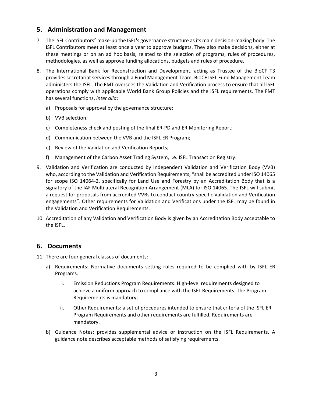## <span id="page-3-0"></span>**5. Administration and Management**

- 7. The ISFL Contributors<sup>2</sup> make-up the ISFL's governance structure as its main decision-making body. The ISFL Contributors meet at least once a year to approve budgets. They also make decisions, either at these meetings or on an ad hoc basis, related to the selection of programs, rules of procedures, methodologies, as well as approve funding allocations, budgets and rules of procedure.
- 8. The International Bank for Reconstruction and Development, acting as Trustee of the BioCF T3 provides secretariat services through a Fund Management Team. BioCF ISFL Fund Management Team administers the ISFL. The FMT oversees the Validation and Verification process to ensure that all ISFL operations comply with applicable World Bank Group Policies and the ISFL requirements. The FMT has several functions, *inter alia*:
	- a) Proposals for approval by the governance structure;
	- b) VVB selection;
	- c) Completeness check and posting of the final ER-PD and ER Monitoring Report;
	- d) Communication between the VVB and the ISFL ER Program;
	- e) Review of the Validation and Verification Reports;
	- f) Management of the Carbon Asset Trading System, i.e. ISFL Transaction Registry.
- 9. Validation and Verification are conducted by Independent Validation and Verification Body (VVB) who, according to the Validation and Verification Requirements, "shall be accredited under ISO 14065 for scope ISO 14064-2, specifically for Land Use and Forestry by an Accreditation Body that is a signatory of the IAF Multilateral Recognition Arrangement (MLA) for ISO 14065. The ISFL will submit a request for proposals from accredited VVBs to conduct country-specific Validation and Verification engagements". Other requirements for Validation and Verifications under the ISFL may be found in the Validation and Verification Requirements.
- 10. Accreditation of any Validation and Verification Body is given by an Accreditation Body acceptable to the ISFL.

## <span id="page-3-1"></span>**6. Documents**

- 11. There are four general classes of documents:
	- a) Requirements: Normative documents setting rules required to be complied with by ISFL ER Programs.
		- i. Emission Reductions Program Requirements: High-level requirements designed to achieve a uniform approach to compliance with the ISFL Requirements. The Program Requirements is mandatory;
		- ii. Other Requirements: a set of procedures intended to ensure that criteria of the ISFL ER Program Requirements and other requirements are fulfilled. Requirements are mandatory.
	- b) Guidance Notes: provides supplemental advice or instruction on the ISFL Requirements. A guidance note describes acceptable methods of satisfying requirements.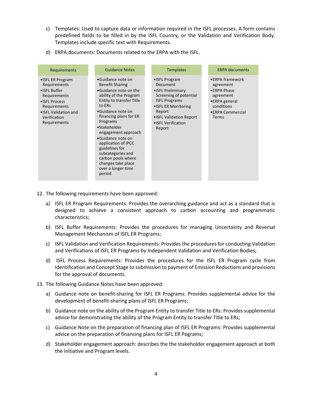- c) Templates: Used to capture data or information required in the ISFL processes. A form contains predefined fields to be filled in by the ISFL Country, or the Validation and Verification Body. Templates include specific text with Requirements.
- d) ERPA documents: Documents related to the ERPA with the ISFL.

| Requirements                                                                                                                                                  | <b>Guidance Notes</b>                                                                                                                                                                                                                                                                                                                                                                                        | <b>Templates</b>                                                                                                                                                                                        | <b>ERPA documents</b>                                                                                                |
|---------------------------------------------------------------------------------------------------------------------------------------------------------------|--------------------------------------------------------------------------------------------------------------------------------------------------------------------------------------------------------------------------------------------------------------------------------------------------------------------------------------------------------------------------------------------------------------|---------------------------------------------------------------------------------------------------------------------------------------------------------------------------------------------------------|----------------------------------------------------------------------------------------------------------------------|
| • ISFL ER Program<br>Requirements<br>• ISFL Buffer<br>Requirements<br>• ISFL Process<br>Requirements<br>• ISFL Validation and<br>Verification<br>Requirements | •Guidance note on<br><b>Benefit Sharing</b><br>•Guidance note on the<br>ability of the Program<br><b>Entity to transfer Title</b><br>to ERs<br>•Guidance note on<br>financing plans for ER<br>Programs<br>•Stakeholder<br>engagement approach<br>•Guidance note on<br>application of IPCC<br>guidelines for<br>subcategories and<br>carbon pools where<br>changes take place<br>over a longer time<br>period | •ISFL Program<br><b>Document</b><br>• ISFL Preliminary<br>Screening of potential<br><b>ISFL Programs</b><br>• ISFL ER Monitoring<br>Report<br>. ISFL Validation Report<br>• ISFL Verification<br>Report | •ERPA framework<br>agreement<br>•ERPA Phase<br>agreement<br>•ERPA general<br>conditions<br>•ERPA Commercial<br>Terms |

- 12. The following requirements have been approved:
	- a) ISFL ER Program Requirements: Provides the overarching guidance and act as a standard that is designed to achieve a consistent approach to carbon accounting and programmatic characteristics;
	- b) ISFL Buffer Requirements: Provides the procedures for managing Uncertainty and Reversal Management Mechanism of ISFL ER Programs;
	- c) ISFL Validation and Verification Requirements: Provides the procedures for conducting Validation and Verifications of ISFL ER Programs by Independent Validation and Verification Bodies;
	- d) ISFL Process Requirements: Provides the procedures for the ISFL ER Program cycle from Identification and Concept Stage to submission to payment of Emission Reductions and provisions for the approval of documents.
- 13. The following Guidance Notes have been approved:
	- a) Guidance note on benefit-sharing for ISFL ER Programs: Provides supplemental advice for the development of benefit-sharing plans of ISFL ER Programs;
	- b) Guidance note on the ability of the Program Entity to transfer Title to ERs: Provides supplemental advice for demonstrating the ability of the Program Entity to transfer Title to ERs;
	- c) Guidance Note on the preparation of financing plan of ISFL ER Programs: Provides supplemental advice on the preparation of financing plans for ISFL ER Pograms;
	- d) Stakeholder engagement approach: describes the the stakeholder engagement approach at both the initiative and Program levels.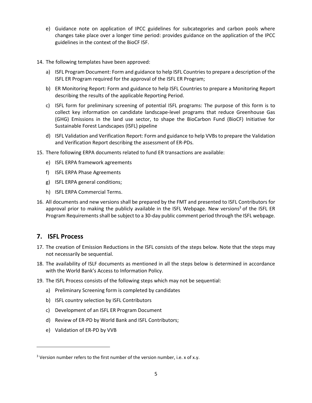- e) Guidance note on application of IPCC guidelines for subcategories and carbon pools where changes take place over a longer time period: provides guidance on the application of the IPCC guidelines in the context of the BioCF ISF.
- 14. The following templates have been approved:
	- a) ISFL Program Document: Form and guidance to help ISFL Countriesto prepare a description of the ISFL ER Program required for the approval of the ISFL ER Program;
	- b) ER Monitoring Report: Form and guidance to help ISFL Countries to prepare a Monitoring Report describing the results of the applicable Reporting Period.
	- c) ISFL form for preliminary screening of potential ISFL programs: The purpose of this form is to collect key information on candidate landscape-level programs that reduce Greenhouse Gas (GHG) Emissions in the land use sector, to shape the BioCarbon Fund (BioCF) Initiative for Sustainable Forest Landscapes (ISFL) pipeline
	- d) ISFL Validation and Verification Report: Form and guidance to help VVBs to prepare the Validation and Verification Report describing the assessment of ER-PDs.
- 15. There following ERPA documents related to fund ER transactions are available:
	- e) ISFL ERPA framework agreements
	- f) ISFL ERPA Phase Agreements
	- g) ISFL ERPA general conditions;
	- h) ISFL ERPA Commercial Terms.
- 16. All documents and new versions shall be prepared by the FMT and presented to ISFL Contributors for approval prior to making the publicly available in the ISFL Webpage. New versions<sup>3</sup> of the ISFL ER Program Requirements shall be subject to a 30-day public comment period through the ISFL webpage.

## <span id="page-5-0"></span>**7. ISFL Process**

- 17. The creation of Emission Reductions in the ISFL consists of the steps below. Note that the steps may not necessarily be sequential.
- 18. The availability of ISLF documents as mentioned in all the steps below is determined in accordance with the World Bank's Access to Information Policy.
- 19. The ISFL Process consists of the following steps which may not be sequential:
	- a) Preliminary Screening form is completed by candidates
	- b) ISFL country selection by ISFL Contributors
	- c) Development of an ISFL ER Program Document
	- d) Review of ER-PD by World Bank and ISFL Contributors;
	- e) Validation of ER-PD by VVB

 $3$  Version number refers to the first number of the version number, i.e. x of x.y.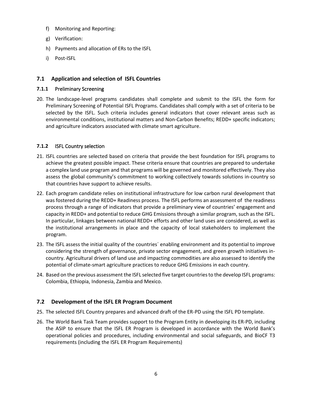- f) Monitoring and Reporting:
- g) Verification:
- h) Payments and allocation of ERs to the ISFL
- i) Post-ISFL

## <span id="page-6-0"></span>**7.1 Application and selection of ISFL Countries**

#### **7.1.1** Preliminary Screening

20. The landscape-level programs candidates shall complete and submit to the ISFL the form for Preliminary Screening of Potential ISFL Programs. Candidates shall comply with a set of criteria to be selected by the ISFL. Such criteria includes general indicators that cover relevant areas such as environmental conditions, institutional matters and Non-Carbon Benefits; REDD+ specific indicators; and agriculture indicators associated with climate smart agriculture.

#### **7.1.2** ISFL Country selection

- 21. ISFL countries are selected based on criteria that provide the best foundation for ISFL programs to achieve the greatest possible impact. These criteria ensure that countries are prepared to undertake a complex land use program and that programs will be governed and monitored effectively. They also assess the global community's commitment to working collectively towards solutions in-country so that countries have support to achieve results.
- 22. Each program candidate relies on institutional infrastructure for low carbon rural development that was fostered during the REDD+ Readiness process. The ISFL performs an assessment of the readiness process through a range of indicators that provide a preliminary view of countries' engagement and capacity in REDD+ and potential to reduce GHG Emissions through a similar program, such as the ISFL. In particular, linkages between national REDD+ efforts and other land uses are considered, as well as the institutional arrangements in place and the capacity of local stakeholders to implement the program.
- 23. The ISFL assess the initial quality of the countries´ enabling environment and its potential to improve considering the strength of governance, private sector engagement, and green growth initiatives incountry. Agricultural drivers of land use and impacting commodities are also assessed to identify the potential of climate-smart agriculture practices to reduce GHG Emissions in each country.
- 24. Based on the previous assessment the ISFL selected five target countries to the develop ISFL programs: Colombia, Ethiopia, Indonesia, Zambia and Mexico.

#### <span id="page-6-1"></span>**7.2 Development of the ISFL ER Program Document**

- 25. The selected ISFL Country prepares and advanced draft of the ER-PD using the ISFL PD template.
- 26. The World Bank Task Team provides support to the Program Entity in developing its ER-PD, including the ASIP to ensure that the ISFL ER Program is developed in accordance with the World Bank's operational policies and procedures, including environmental and social safeguards, and BioCF T3 requirements (including the ISFL ER Program Requirements)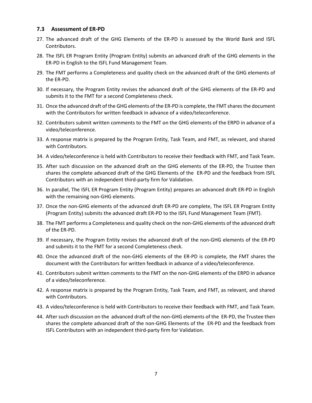#### <span id="page-7-0"></span>**7.3 Assessment of ER-PD**

- 27. The advanced draft of the GHG Elements of the ER-PD is assessed by the World Bank and ISFL Contributors.
- 28. The ISFL ER Program Entity (Program Entity) submits an advanced draft of the GHG elements in the ER-PD in English to the ISFL Fund Management Team.
- 29. The FMT performs a Completeness and quality check on the advanced draft of the GHG elements of the ER-PD.
- 30. If necessary, the Program Entity revises the advanced draft of the GHG elements of the ER-PD and submits it to the FMT for a second Completeness check.
- 31. Once the advanced draft of the GHG elements of the ER-PD is complete, the FMT shares the document with the Contributors for written feedback in advance of a video/teleconference.
- 32. Contributors submit written comments to the FMT on the GHG elements of the ERPD in advance of a video/teleconference.
- 33. A response matrix is prepared by the Program Entity, Task Team, and FMT, as relevant, and shared with Contributors.
- 34. A video/teleconference is held with Contributors to receive their feedback with FMT, and Task Team.
- 35. After such discussion on the advanced draft on the GHG elements of the ER-PD, the Trustee then shares the complete advanced draft of the GHG Elements of the ER-PD and the feedback from ISFL Contributors with an independent third-party firm for Validation.
- 36. In parallel, The ISFL ER Program Entity (Program Entity) prepares an advanced draft ER-PD in English with the remaining non-GHG elements.
- 37. Once the non-GHG elements of the advanced draft ER-PD are complete, The ISFL ER Program Entity (Program Entity) submits the advanced draft ER-PD to the ISFL Fund Management Team (FMT).
- 38. The FMT performs a Completeness and quality check on the non-GHG elements of the advanced draft of the ER-PD.
- 39. If necessary, the Program Entity revises the advanced draft of the non-GHG elements of the ER-PD and submits it to the FMT for a second Completeness check.
- 40. Once the advanced draft of the non-GHG elements of the ER-PD is complete, the FMT shares the document with the Contributors for written feedback in advance of a video/teleconference.
- 41. Contributors submit written comments to the FMT on the non-GHG elements of the ERPD in advance of a video/teleconference.
- 42. A response matrix is prepared by the Program Entity, Task Team, and FMT, as relevant, and shared with Contributors.
- 43. A video/teleconference is held with Contributors to receive their feedback with FMT, and Task Team.
- 44. After such discussion on the advanced draft of the non-GHG elements of the ER-PD, the Trustee then shares the complete advanced draft of the non-GHG Elements of the ER-PD and the feedback from ISFL Contributors with an independent third-party firm for Validation.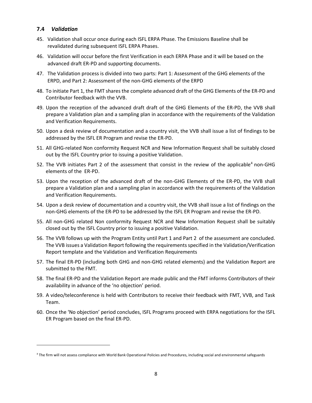#### <span id="page-8-0"></span>**7.4** *Validation*

- 45. Validation shall occur once during each ISFL ERPA Phase. The Emissions Baseline shall be revalidated during subsequent ISFL ERPA Phases.
- 46. Validation will occur before the first Verification in each ERPA Phase and it will be based on the advanced draft ER-PD and supporting documents.
- 47. The Validation process is divided into two parts: Part 1: Assessment of the GHG elements of the ERPD, and Part 2: Assessment of the non-GHG elements of the ERPD
- 48. To initiate Part 1, the FMT shares the complete advanced draft of the GHG Elements of the ER-PD and Contributor feedback with the VVB.
- 49. Upon the reception of the advanced draft draft of the GHG Elements of the ER-PD, the VVB shall prepare a Validation plan and a sampling plan in accordance with the requirements of the Validation and Verification Requirements.
- 50. Upon a desk review of documentation and a country visit, the VVB shall issue a list of findings to be addressed by the ISFL ER Program and revise the ER-PD.
- 51. All GHG-related Non conformity Request NCR and New Information Request shall be suitably closed out by the ISFL Country prior to issuing a positive Validation.
- 52. The VVB initiates Part 2 of the assessment that consist in the review of the applicable<sup>4</sup> non-GHG elements of the ER-PD.
- 53. Upon the reception of the advanced draft of the non-GHG Elements of the ER-PD, the VVB shall prepare a Validation plan and a sampling plan in accordance with the requirements of the Validation and Verification Requirements.
- 54. Upon a desk review of documentation and a country visit, the VVB shall issue a list of findings on the non-GHG elements of the ER-PD to be addressed by the ISFL ER Program and revise the ER-PD.
- 55. All non-GHG related Non conformity Request NCR and New Information Request shall be suitably closed out by the ISFL Country prior to issuing a positive Validation.
- 56. The VVB follows up with the Program Entity until Part 1 and Part 2 of the assessment are concluded. The VVB issues a Validation Report following the requirements specified in the Validation/Verification Report template and the Validation and Verification Requirements
- 57. The final ER-PD (including both GHG and non-GHG related elements) and the Validation Report are submitted to the FMT.
- 58. The final ER-PD and the Validation Report are made public and the FMT informs Contributors of their availability in advance of the 'no objection' period.
- 59. A video/teleconference is held with Contributors to receive their feedback with FMT, VVB, and Task Team.
- 60. Once the 'No objection' period concludes, ISFL Programs proceed with ERPA negotiations for the ISFL ER Program based on the final ER-PD.

<sup>4</sup> The firm will not assess compliance with World Bank Operational Policies and Procedures, including social and environmental safeguards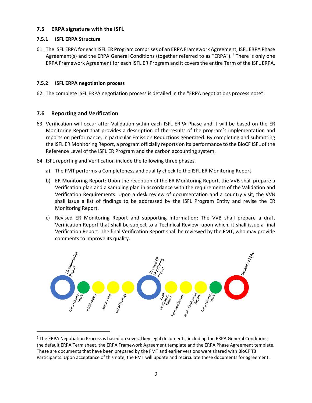#### <span id="page-9-0"></span>**7.5 ERPA signature with the ISFL**

#### **7.5.1 ISFL ERPA Structure**

61. The ISFL ERPA for each ISFL ER Program comprises of an ERPA Framework Agreement, ISFL ERPA Phase Agreement(s) and the ERPA General Conditions (together referred to as "ERPA"). <sup>5</sup> There is only one ERPA Framework Agreement for each ISFL ER Program and it covers the entire Term of the ISFL ERPA.

#### **7.5.2 ISFL ERPA negotiation process**

62. The complete ISFL ERPA negotiation process is detailed in the "ERPA negotiations process note".

#### <span id="page-9-1"></span>**7.6 Reporting and Verification**

- 63. Verification will occur after Validation wthin each ISFL ERPA Phase and it will be based on the ER Monitoring Report that provides a description of the results of the program´s implementation and reports on performance, in particular Emission Reductions generated. By completing and submitting the ISFL ER Monitoring Report, a program officially reports on its performance to the BioCF ISFL of the Reference Level of the ISFL ER Program and the carbon accounting system.
- 64. ISFL reporting and Verification include the following three phases.
	- a) The FMT performs a Completeness and quality check to the ISFL ER Monitoring Report
	- b) ER Monitoring Report: Upon the reception of the ER Monitoring Report, the VVB shall prepare a Verification plan and a sampling plan in accordance with the requirements of the Validation and Verification Requirements. Upon a desk review of documentation and a country visit, the VVB shall issue a list of findings to be addressed by the ISFL Program Entity and revise the ER Monitoring Report.
	- c) Revised ER Monitoring Report and supporting information: The VVB shall prepare a draft Verification Report that shall be subject to a Technical Review, upon which, it shall issue a final Verification Report. The final Verification Report shall be reviewed by the FMT, who may provide comments to improve its quality.



<sup>&</sup>lt;sup>5</sup> The ERPA Negotiation Process is based on several key legal documents, including the ERPA General Conditions, the default ERPA Term sheet, the ERPA Framework Agreement template and the ERPA Phase Agreement template. These are documents that have been prepared by the FMT and earlier versions were shared with BioCF T3 Participants. Upon acceptance of this note, the FMT will update and recirculate these documents for agreement.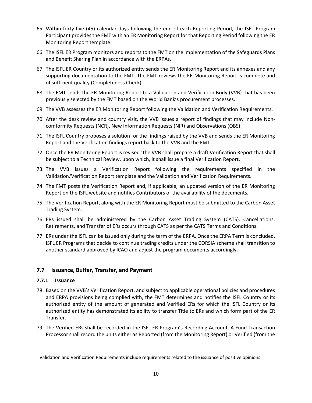- 65. Within forty-five (45) calendar days following the end of each Reporting Period, the ISFL Program Participant provides the FMT with an ER Monitoring Report for that Reporting Period following the ER Monitoring Report template.
- 66. The ISFL ER Program monitors and reports to the FMT on the implementation of the Safeguards Plans and Benefit Sharing Plan in accordance with the ERPAs.
- 67. The ISFL ER Country or its authorized entity sends the ER Monitoring Report and its annexes and any supporting documentation to the FMT. The FMT reviews the ER Monitoring Report is complete and of sufficient quality (Completeness Check).
- 68. The FMT sends the ER Monitoring Report to a Validation and Verification Body (VVB) that has been previously selected by the FMT based on the World Bank's procurement processes.
- 69. The VVB assesses the ER Monitoring Report following the Validation and Verification Requirements.
- 70. After the desk review and country visit, the VVB issues a report of findings that may include Noncomformity Requests (NCR), New Information Requests (NIR) and Observations (OBS).
- 71. The ISFL Country proposes a solution for the findings raised by the VVB and sends the ER Monitoring Report and the Verification findings report back to the VVB and the FMT.
- 72. Once the ER Monitoring Report is revised<sup>6</sup> the VVB shall prepare a draft Verification Report that shall be subject to a Technical Review, upon which, it shall issue a final Verification Report.
- 73. The VVB issues a Verification Report following the requirements specified in the Validation/Verification Report template and the Validation and Verification Requirements.
- 74. The FMT posts the Verification Report and, if applicable, an updated version of the ER Monitoring Report on the ISFL website and notifies Contributors of the availability of the documents.
- 75. The Verification Report, along with the ER Monitoring Report must be submitted to the Carbon Asset Trading System.
- 76. ERs issued shall be administered by the Carbon Asset Trading System (CATS). Cancellations, Retirements, and Transfer of ERs occurs through CATS as per the CATS Terms and Conditions.
- 77. ERs under the ISFL can be issued only during the term of the ERPA. Once the ERPA Term is concluded, ISFL ER Programs that decide to continue trading credits under the CORSIA scheme shall transition to another standard approved by ICAO and adjust the program documents accordingly.

## <span id="page-10-0"></span>**7.7 Issuance, Buffer, Transfer, and Payment**

#### **7.7.1 Issuance**

- 78. Based on the VVB's Verification Report, and subject to applicable operational policies and procedures and ERPA provisions being complied with, the FMT determines and notifies the ISFL Country or its authorized entity of the amount of generated and Verified ERs for which the ISFL Country or its authorized entity has demonstrated its ability to transfer Title to ERs and which form part of the ER Transfer.
- 79. The Verified ERs shall be recorded in the ISFL ER Program's Recording Account. A Fund Transaction Processor shall record the units either as Reported (from the Monitoring Report) or Verified (from the

<sup>6</sup> Validation and Verification Requirements include requirements related to the issuance of positive opinions.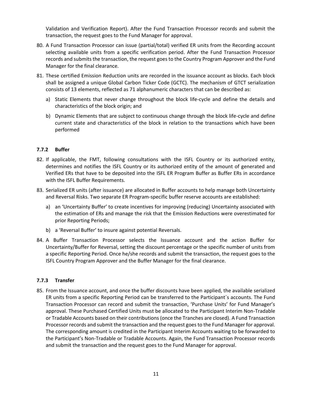Validation and Verification Report). After the Fund Transaction Processor records and submit the transaction, the request goes to the Fund Manager for approval.

- 80. A Fund Transaction Processor can issue (partial/total) verified ER units from the Recording account selecting available units from a specific verification period. After the Fund Transaction Processor records and submits the transaction, the request goes to the Country Program Approver and the Fund Manager for the final clearance.
- 81. These certified Emission Reduction units are recorded in the issuance account as blocks. Each block shall be assigned a unique Global Carbon Ticker Code (GCTC). The mechanism of GTCT serialization consists of 13 elements, reflected as 71 alphanumeric characters that can be described as:
	- a) Static Elements that never change throughout the block life-cycle and define the details and characteristics of the block origin; and
	- b) Dynamic Elements that are subject to continuous change through the block life-cycle and define current state and characteristics of the block in relation to the transactions which have been performed

#### **7.7.2 Buffer**

- 82. If applicable, the FMT, following consultations with the ISFL Country or its authorized entity, determines and notifies the ISFL Country or its authorized entity of the amount of generated and Verified ERs that have to be deposited into the ISFL ER Program Buffer as Buffer ERs in accordance with the ISFL Buffer Requirements.
- 83. Serialized ER units (after issuance) are allocated in Buffer accounts to help manage both Uncertainty and Reversal Risks. Two separate ER Program-specific buffer reserve accounts are established:
	- a) an 'Uncertainty Buffer' to create incentives for improving (reducing) Uncertainty associated with the estimation of ERs and manage the risk that the Emission Reductions were overestimated for prior Reporting Periods;
	- b) a 'Reversal Buffer' to insure against potential Reversals.
- 84. A Buffer Transaction Processor selects the Issuance account and the action Buffer for Uncertainty/Buffer for Reversal, setting the discount percentage or the specific number of units from a specific Reporting Period. Once he/she records and submit the transaction, the request goes to the ISFL Country Program Approver and the Buffer Manager for the final clearance.

#### **7.7.3 Transfer**

85. From the Issuance account, and once the buffer discounts have been applied, the available serialized ER units from a specific Reporting Period can be transferred to the Participant´s accounts. The Fund Transaction Processor can record and submit the transaction, 'Purchase Units' for Fund Manager's approval. These Purchased Certified Units must be allocated to the Participant Interim Non-Tradable or Tradable Accounts based on their contributions (once the Tranches are closed). A Fund Transaction Processor records and submit the transaction and the request goes to the Fund Manager for approval. The corresponding amount is credited in the Participant Interim Accounts waiting to be forwarded to the Participant's Non-Tradable or Tradable Accounts. Again, the Fund Transaction Processor records and submit the transaction and the request goes to the Fund Manager for approval.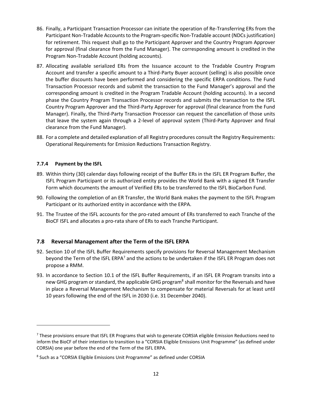- 86. Finally, a Participant Transaction Processor can initiate the operation of Re-Transferring ERs from the Participant Non-Tradable Accounts to the Program-specific Non-Tradable account (NDCs justification) for retirement. This request shall go to the Participant Approver and the Country Program Approver for approval (final clearance from the Fund Manager). The corresponding amount is credited in the Program Non-Tradable Account (holding accounts).
- 87. Allocating available serialized ERs from the Issuance account to the Tradable Country Program Account and transfer a specific amount to a Third-Party Buyer account (selling) is also possible once the buffer discounts have been performed and considering the specific ERPA conditions. The Fund Transaction Processor records and submit the transaction to the Fund Manager's approval and the corresponding amount is credited in the Program Tradable Account (holding accounts). In a second phase the Country Program Transaction Processor records and submits the transaction to the ISFL Country Program Approver and the Third-Party Approver for approval (final clearance from the Fund Manager). Finally, the Third-Party Transaction Processor can request the cancellation of those units that leave the system again through a 2-level of approval system (Third-Party Approver and final clearance from the Fund Manager).
- 88. For a complete and detailed explanation of all Registry procedures consult the Registry Requirements: Operational Requirements for Emission Reductions Transaction Registry.

#### **7.7.4 Payment by the ISFL**

- 89. Within thirty (30) calendar days following receipt of the Buffer ERs in the ISFL ER Program Buffer, the ISFL Program Participant or its authorized entity provides the World Bank with a signed ER Transfer Form which documents the amount of Verified ERs to be transferred to the ISFL BioCarbon Fund.
- 90. Following the completion of an ER Transfer, the World Bank makes the payment to the ISFL Program Participant or its authorized entity in accordance with the ERPA.
- 91. The Trustee of the ISFL accounts for the pro-rated amount of ERs transferred to each Tranche of the BioCF ISFL and allocates a pro-rata share of ERs to each Tranche Participant.

#### <span id="page-12-0"></span>**7.8 Reversal Management after the Term of the ISFL ERPA**

- 92. Section 10 of the ISFL Buffer Requirements specify provisions for Reversal Management Mechanism beyond the Term of the ISFL ERPA<sup>7</sup> and the actions to be undertaken if the ISFL ER Program does not propose a RMM.
- 93. In accordance to Section 10.1 of the ISFL Buffer Requirements, if an ISFL ER Program transits into a new GHG program or standard, the applicable GHG program<sup>8</sup> shall monitor for the Reversals and have in place a Reversal Management Mechanism to compensate for material Reversals for at least until 10 years following the end of the ISFL in 2030 (i.e. 31 December 2040).

 $7$  These provisions ensure that ISFL ER Programs that wish to generate CORSIA eligible Emission Reductions need to inform the BioCF of their intention to transition to a "CORSIA Eligible Emissions Unit Programme" (as defined under CORSIA) one year before the end of the Term of the ISFL ERPA.

<sup>&</sup>lt;sup>8</sup> Such as a "CORSIA Eligible Emissions Unit Programme" as defined under CORSIA